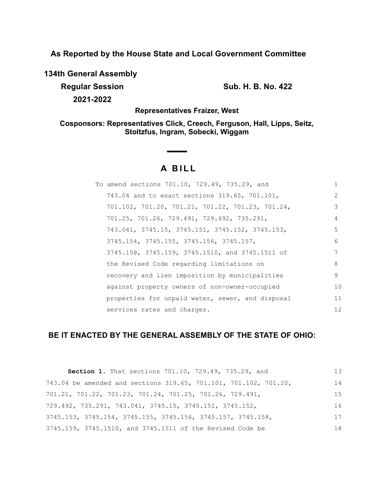**As Reported by the House State and Local Government Committee**

**134th General Assembly**

**Regular Session Sub. H. B. No. 422 2021-2022**

**Representatives Fraizer, West**

**Cosponsors: Representatives Click, Creech, Ferguson, Hall, Lipps, Seitz, Stoltzfus, Ingram, Sobecki, Wiggam**

# **A BILL**

| To amend sections 701.10, 729.49, 735.29, and    |               |
|--------------------------------------------------|---------------|
| 743.04 and to enact sections 319.65, 701.101,    | $\mathcal{L}$ |
| 701.102, 701.20, 701.21, 701.22, 701.23, 701.24, | 3             |
| 701.25, 701.26, 729.491, 729.492, 735.291,       | 4             |
| 743.041, 3745.15, 3745.151, 3745.152, 3745.153,  | 5             |
| 3745.154, 3745.155, 3745.156, 3745.157,          | 6             |
| 3745.158, 3745.159, 3745.1510, and 3745.1511 of  | 7             |
| the Revised Code regarding limitations on        | 8             |
| recovery and lien imposition by municipalities   | 9             |
| against property owners of non-owner-occupied    | 10            |
| properties for unpaid water, sewer, and disposal | 11            |
| services rates and charges.                      | 12            |
|                                                  |               |

## **BE IT ENACTED BY THE GENERAL ASSEMBLY OF THE STATE OF OHIO:**

| Section 1. That sections 701.10, 729.49, 735.29, and                          | 13 |
|-------------------------------------------------------------------------------|----|
| 743.04 be amended and sections 319.65, 701.101, 701.102, 701.20,              | 14 |
| 701.21, 701.22, 701.23, 701.24, 701.25, 701.26, 729.491,                      | 15 |
| $729.492$ , $735.291$ , $743.041$ , $3745.15$ , $3745.151$ , $3745.152$ ,     | 16 |
| $3745.153$ , $3745.154$ , $3745.155$ , $3745.156$ , $3745.157$ , $3745.158$ , | 17 |
| 3745.159, 3745.1510, and 3745.1511 of the Revised Code be                     | 18 |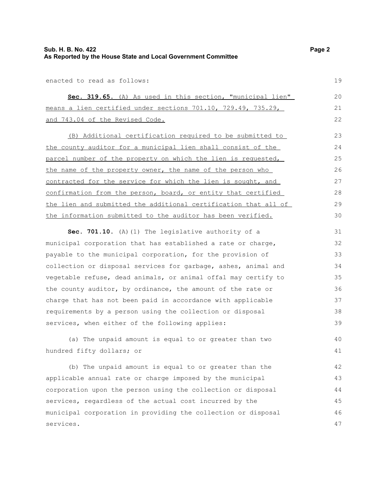enacted to read as follows:

|  |  |                                 |  | Sec. 319.65. (A) As used in this section, "municipal lien"    |  | 20 |  |
|--|--|---------------------------------|--|---------------------------------------------------------------|--|----|--|
|  |  |                                 |  | means a lien certified under sections 701.10, 729.49, 735.29, |  |    |  |
|  |  | and 743.04 of the Revised Code. |  |                                                               |  | 22 |  |

(B) Additional certification required to be submitted to the county auditor for a municipal lien shall consist of the parcel number of the property on which the lien is requested, the name of the property owner, the name of the person who contracted for the service for which the lien is sought, and confirmation from the person, board, or entity that certified the lien and submitted the additional certification that all of the information submitted to the auditor has been verified. 23 24 25 26 27 28 29 30

**Sec. 701.10.** (A)(1) The legislative authority of a municipal corporation that has established a rate or charge, payable to the municipal corporation, for the provision of collection or disposal services for garbage, ashes, animal and vegetable refuse, dead animals, or animal offal may certify to the county auditor, by ordinance, the amount of the rate or charge that has not been paid in accordance with applicable requirements by a person using the collection or disposal services, when either of the following applies: 31 32 33 34 35 36 37 38 39

(a) The unpaid amount is equal to or greater than two hundred fifty dollars; or

(b) The unpaid amount is equal to or greater than the applicable annual rate or charge imposed by the municipal corporation upon the person using the collection or disposal services, regardless of the actual cost incurred by the municipal corporation in providing the collection or disposal services. 42 43 44 45 46 47

19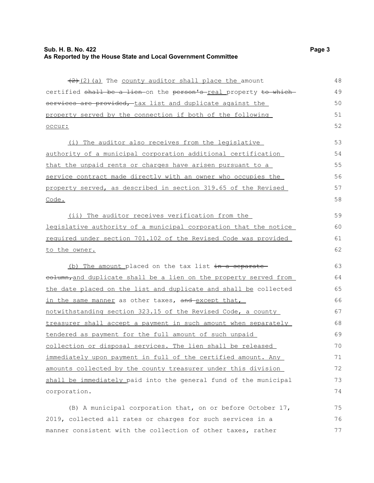$(2)$  (a) The county auditor shall place the amount certified shall be a lien on the person's real property to which services are provided, tax list and duplicate against the property served by the connection if both of the following occur: (i) The auditor also receives from the legislative authority of a municipal corporation additional certification that the unpaid rents or charges have arisen pursuant to a service contract made directly with an owner who occupies the property served, as described in section 319.65 of the Revised Code. (ii) The auditor receives verification from the legislative authority of a municipal corporation that the notice required under section 701.102 of the Revised Code was provided to the owner. (b) The amount placed on the tax list  $\frac{1}{x}$  in a separate eolumn,and duplicate shall be a lien on the property served from the date placed on the list and duplicate and shall be collected in the same manner as other taxes, and except that, notwithstanding section 323.15 of the Revised Code, a county treasurer shall accept a payment in such amount when separately tendered as payment for the full amount of such unpaid collection or disposal services. The lien shall be released immediately upon payment in full of the certified amount. Any amounts collected by the county treasurer under this division shall be immediately paid into the general fund of the municipal 48 49 50 51 52 53 54 55 56 57 58 59 60 61 62 63 64 65 66 67 68 69 70 71 72 73

(B) A municipal corporation that, on or before October 17, 2019, collected all rates or charges for such services in a manner consistent with the collection of other taxes, rather 75 76 77

corporation.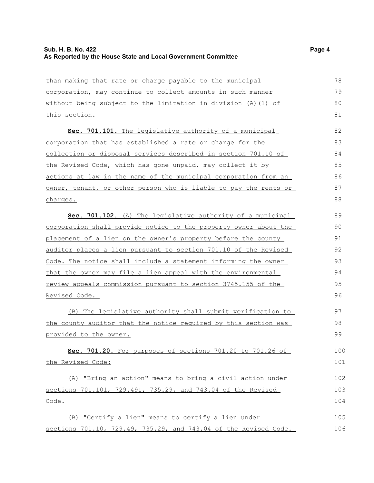#### **Sub. H. B. No. 422 Page 4 As Reported by the House State and Local Government Committee**

than making that rate or charge payable to the municipal corporation, may continue to collect amounts in such manner without being subject to the limitation in division (A)(1) of this section.

Sec. 701.101. The legislative authority of a municipal corporation that has established a rate or charge for the collection or disposal services described in section 701.10 of the Revised Code, which has gone unpaid, may collect it by actions at law in the name of the municipal corporation from an owner, tenant, or other person who is liable to pay the rents or charges.

 **Sec. 701.102.** (A) The legislative authority of a municipal corporation shall provide notice to the property owner about the placement of a lien on the owner's property before the county auditor places a lien pursuant to section 701.10 of the Revised Code. The notice shall include a statement informing the owner that the owner may file a lien appeal with the environmental review appeals commission pursuant to section 3745.155 of the Revised Code. 89 90 91 92 93 94 95 96

(B) The legislative authority shall submit verification to the county auditor that the notice required by this section was provided to the owner.

 **Sec. 701.20.** For purposes of sections 701.20 to 701.26 of the Revised Code: 100 101

(A) "Bring an action" means to bring a civil action under sections 701.101, 729.491, 735.29, and 743.04 of the Revised Code. 102 103 104

(B) "Certify a lien" means to certify a lien under sections 701.10, 729.49, 735.29, and 743.04 of the Revised Code. 105 106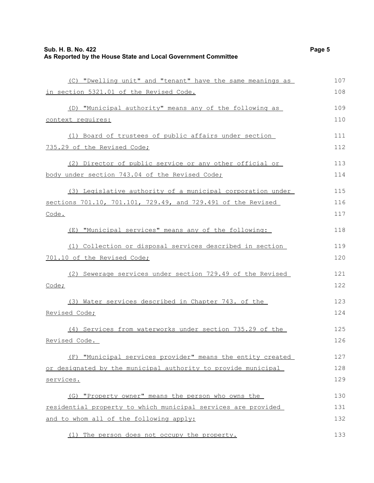| (C) "Dwelling unit" and "tenant" have the same meanings as    | 107 |
|---------------------------------------------------------------|-----|
| in section 5321.01 of the Revised Code.                       | 108 |
| (D) "Municipal authority" means any of the following as       | 109 |
| context requires:                                             | 110 |
| (1) Board of trustees of public affairs under section         | 111 |
| 735.29 of the Revised Code;                                   | 112 |
| (2) Director of public service or any other official or       | 113 |
| body under section 743.04 of the Revised Code;                | 114 |
| (3) Legislative authority of a municipal corporation under    | 115 |
| sections 701.10, 701.101, 729.49, and 729.491 of the Revised  | 116 |
| Code.                                                         | 117 |
| (E) "Municipal services" means any of the following:          | 118 |
| (1) Collection or disposal services described in section      | 119 |
| 701.10 of the Revised Code;                                   | 120 |
| (2) Sewerage services under section 729.49 of the Revised     | 121 |
| Code;                                                         | 122 |
| (3) Water services described in Chapter 743. of the           | 123 |
| Revised Code;                                                 | 124 |
| (4) Services from waterworks under section 735.29 of the      | 125 |
| Revised Code.                                                 | 126 |
| (F) "Municipal services provider" means the entity created    | 127 |
| or designated by the municipal authority to provide municipal | 128 |
| services.                                                     | 129 |
| (G) "Property owner" means the person who owns the            | 130 |
| residential property to which municipal services are provided | 131 |
| and to whom all of the following apply:                       | 132 |
| (1) The person does not occupy the property.                  | 133 |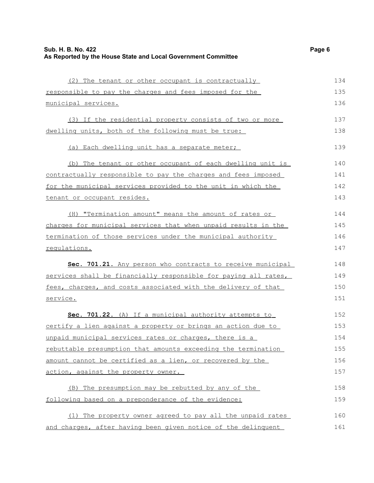| Sub. H. B. No. 422<br>As Reported by the House State and Local Government Committee | Page 6 |
|-------------------------------------------------------------------------------------|--------|
|                                                                                     |        |
| (2) The tenant or other occupant is contractually                                   | 134    |
| responsible to pay the charges and fees imposed for the                             | 135    |
| municipal services.                                                                 | 136    |
| (3) If the residential property consists of two or more                             | 137    |
| dwelling units, both of the following must be true:                                 | 138    |
| (a) Each dwelling unit has a separate meter;                                        | 139    |
| (b) The tenant or other occupant of each dwelling unit is                           | 140    |
| contractually responsible to pay the charges and fees imposed                       | 141    |
| for the municipal services provided to the unit in which the                        | 142    |
| tenant or occupant resides.                                                         | 143    |
| (H) "Termination amount" means the amount of rates or                               | 144    |
| charges for municipal services that when unpaid results in the                      | 145    |
| termination of those services under the municipal authority                         | 146    |
| requlations.                                                                        | 147    |
| Sec. 701.21. Any person who contracts to receive municipal                          | 148    |
| services shall be financially responsible for paying all rates,                     | 149    |
| fees, charges, and costs associated with the delivery of that                       | 150    |
| service.                                                                            | 151    |
| Sec. 701.22. (A) If a municipal authority attempts to                               | 152    |
| certify a lien against a property or brings an action due to                        | 153    |
| unpaid municipal services rates or charges, there is a                              | 154    |
| rebuttable presumption that amounts exceeding the termination                       | 155    |
| amount cannot be certified as a lien, or recovered by the                           | 156    |
| action, against the property owner.                                                 | 157    |
| (B) The presumption may be rebutted by any of the                                   | 158    |
| following based on a preponderance of the evidence:                                 | 159    |
| (1) The property owner agreed to pay all the unpaid rates                           | 160    |
| and charges, after having been given notice of the delinquent                       | 161    |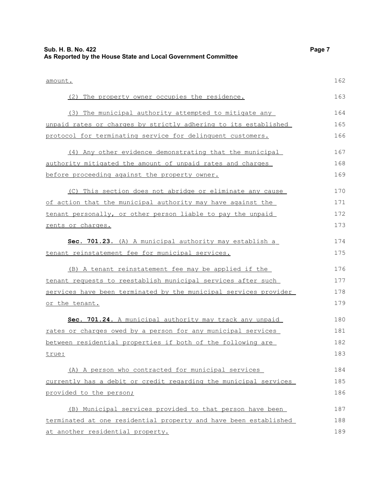| Sub. H. B. No. 422<br>As Reported by the House State and Local Government Committee | Page 7 |
|-------------------------------------------------------------------------------------|--------|
| amount.                                                                             | 162    |
| The property owner occupies the residence.<br>(2)                                   | 163    |
| The municipal authority attempted to mitigate any<br>(3)                            | 164    |
| unpaid rates or charges by strictly adhering to its established                     | 165    |
| protocol for terminating service for delinquent customers.                          | 166    |
| (4) Any other evidence demonstrating that the municipal                             | 167    |
| authority mitigated the amount of unpaid rates and charges                          | 168    |
| before proceeding against the property owner.                                       | 169    |
| (C) This section does not abridge or eliminate any cause                            | 170    |
| of action that the municipal authority may have against the                         | 171    |
| tenant personally, or other person liable to pay the unpaid                         | 172    |
| rents or charges.                                                                   | 173    |
| Sec. 701.23. (A) A municipal authority may establish a                              | 174    |
| tenant reinstatement fee for municipal services.                                    | 175    |
| (B) A tenant reinstatement fee may be applied if the                                | 176    |
| tenant requests to reestablish municipal services after such                        | 177    |
| services have been terminated by the municipal services provider                    | 178    |
| or the tenant.                                                                      | 179    |
| Sec. 701.24. A municipal authority may track any unpaid                             | 180    |
| rates or charges owed by a person for any municipal services                        | 181    |
| between residential properties if both of the following are                         | 182    |
| true:                                                                               | 183    |
| (A) A person who contracted for municipal services                                  | 184    |
| currently has a debit or credit regarding the municipal services                    | 185    |
| provided to the person;                                                             | 186    |
| (B) Municipal services provided to that person have been                            | 187    |
| terminated at one residential property and have been established                    | 188    |
| at another residential property.                                                    | 189    |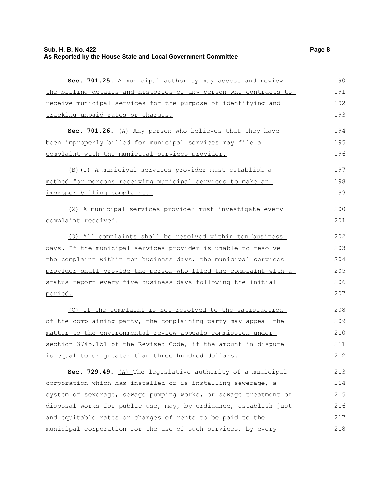## **Sub. H. B. No. 422** Page 8 **As Reported by the House State and Local Government Committee**

| Sec. 701.25. A municipal authority may access and review         | 190 |
|------------------------------------------------------------------|-----|
| the billing details and histories of any person who contracts to | 191 |
| receive municipal services for the purpose of identifying and    | 192 |
| tracking unpaid rates or charges.                                | 193 |
| Sec. 701.26. (A) Any person who believes that they have          | 194 |
| been improperly billed for municipal services may file a         | 195 |
| complaint with the municipal services provider.                  | 196 |
| (B) (1) A municipal services provider must establish a           | 197 |
| method for persons receiving municipal services to make an       | 198 |
| improper billing complaint.                                      | 199 |
| (2) A municipal services provider must investigate every         | 200 |
| complaint received.                                              | 201 |
| (3) All complaints shall be resolved within ten business         | 202 |
| days. If the municipal services provider is unable to resolve    | 203 |
| the complaint within ten business days, the municipal services   | 204 |
| provider shall provide the person who filed the complaint with a | 205 |
| status report every five business days following the initial     | 206 |
| period.                                                          | 207 |
| (C) If the complaint is not resolved to the satisfaction         | 208 |
| of the complaining party, the complaining party may appeal the   | 209 |
| matter to the environmental review appeals commission under      | 210 |
| section 3745.151 of the Revised Code, if the amount in dispute   | 211 |
| is equal to or greater than three hundred dollars.               | 212 |
| Sec. 729.49. (A) The legislative authority of a municipal        | 213 |
| corporation which has installed or is installing sewerage, a     | 214 |
| system of sewerage, sewage pumping works, or sewage treatment or | 215 |
| disposal works for public use, may, by ordinance, establish just | 216 |
| and equitable rates or charges of rents to be paid to the        | 217 |
| municipal corporation for the use of such services, by every     | 218 |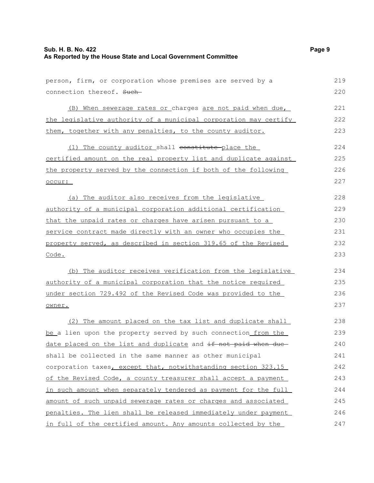| person, firm, or corporation whose premises are served by a      | 219 |
|------------------------------------------------------------------|-----|
| connection thereof. Such-                                        | 220 |
| (B) When sewerage rates or charges are not paid when due,        | 221 |
| the legislative authority of a municipal corporation may certify | 222 |
| them, together with any penalties, to the county auditor.        | 223 |
| (1) The county auditor shall constitute place the                | 224 |
| certified amount on the real property list and duplicate against | 225 |
| the property served by the connection if both of the following   | 226 |
| occur:                                                           | 227 |
| (a) The auditor also receives from the legislative               | 228 |
| authority of a municipal corporation additional certification    | 229 |
| that the unpaid rates or charges have arisen pursuant to a       | 230 |
| service contract made directly with an owner who occupies the    | 231 |
| property served, as described in section 319.65 of the Revised   | 232 |
| Code.                                                            | 233 |
| (b) The auditor receives verification from the legislative       | 234 |
| authority of a municipal corporation that the notice required    | 235 |
| under section 729.492 of the Revised Code was provided to the    | 236 |
| owner.                                                           | 237 |
| (2) The amount placed on the tax list and duplicate shall        | 238 |
| be a lien upon the property served by such connection from the   | 239 |
| date placed on the list and duplicate and if not paid when due-  | 240 |
| shall be collected in the same manner as other municipal         | 241 |
| corporation taxes, except that, notwithstanding section 323.15   | 242 |
| of the Revised Code, a county treasurer shall accept a payment   | 243 |
| in such amount when separately tendered as payment for the full  | 244 |
| amount of such unpaid sewerage rates or charges and associated   | 245 |
| penalties. The lien shall be released immediately under payment  | 246 |
| in full of the certified amount. Any amounts collected by the    | 247 |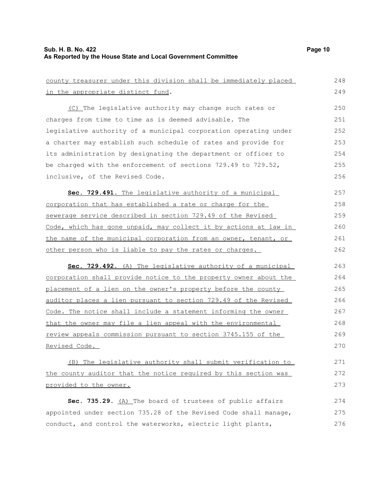| county treasurer under this division shall be immediately placed | 248 |
|------------------------------------------------------------------|-----|
| in the appropriate distinct fund.                                | 249 |
| (C) The legislative authority may change such rates or           | 250 |
| charges from time to time as is deemed advisable. The            | 251 |
| legislative authority of a municipal corporation operating under | 252 |
| a charter may establish such schedule of rates and provide for   | 253 |
| its administration by designating the department or officer to   | 254 |
| be charged with the enforcement of sections 729.49 to 729.52,    | 255 |
| inclusive, of the Revised Code.                                  | 256 |
| Sec. 729.491. The legislative authority of a municipal           | 257 |
| corporation that has established a rate or charge for the        | 258 |
| sewerage service described in section 729.49 of the Revised      | 259 |
| Code, which has gone unpaid, may collect it by actions at law in | 260 |
| the name of the municipal corporation from an owner, tenant, or  | 261 |
| other person who is liable to pay the rates or charges.          | 262 |
| Sec. 729.492. (A) The legislative authority of a municipal       | 263 |
| corporation shall provide notice to the property owner about the | 264 |
| placement of a lien on the owner's property before the county    | 265 |
| auditor places a lien pursuant to section 729.49 of the Revised  | 266 |
| Code. The notice shall include a statement informing the owner   | 267 |
| that the owner may file a lien appeal with the environmental     | 268 |
| review appeals commission pursuant to section 3745.155 of the    | 269 |
| Revised Code.                                                    | 270 |
| (B) The legislative authority shall submit verification to       | 271 |
| the county auditor that the notice required by this section was  | 272 |
| provided to the owner.                                           | 273 |
| Sec. 735.29. (A) The board of trustees of public affairs         | 274 |
| appointed under section 735.28 of the Revised Code shall manage, | 275 |
| conduct, and control the waterworks, electric light plants,      | 276 |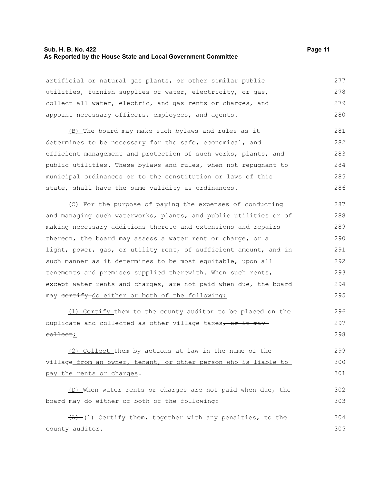#### **Sub. H. B. No. 422 Page 11 As Reported by the House State and Local Government Committee**

artificial or natural gas plants, or other similar public utilities, furnish supplies of water, electricity, or gas, collect all water, electric, and gas rents or charges, and appoint necessary officers, employees, and agents. 277 278 279 280

(B) The board may make such bylaws and rules as it determines to be necessary for the safe, economical, and efficient management and protection of such works, plants, and public utilities. These bylaws and rules, when not repugnant to municipal ordinances or to the constitution or laws of this state, shall have the same validity as ordinances. 281 282 283 284 285 286

(C) For the purpose of paying the expenses of conducting and managing such waterworks, plants, and public utilities or of making necessary additions thereto and extensions and repairs thereon, the board may assess a water rent or charge, or a light, power, gas, or utility rent, of sufficient amount, and in such manner as it determines to be most equitable, upon all tenements and premises supplied therewith. When such rents, except water rents and charges, are not paid when due, the board may certify do either or both of the following: 287 288 289 290 291 292 293 294 295

(1) Certify them to the county auditor to be placed on the duplicate and collected as other village taxes, or it may collect;

(2) Collect them by actions at law in the name of the village from an owner, tenant, or other person who is liable to pay the rents or charges. 299 300 301

(D) When water rents or charges are not paid when due, the board may do either or both of the following:

 $(A)$  (1) Certify them, together with any penalties, to the county auditor. 304 305

296 297 298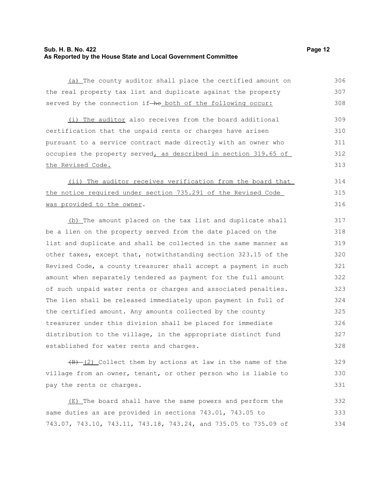#### **Sub. H. B. No. 422 Page 12 As Reported by the House State and Local Government Committee**

(a) The county auditor shall place the certified amount on the real property tax list and duplicate against the property served by the connection if-he both of the following occur: 306 307 308

(i) The auditor also receives from the board additional certification that the unpaid rents or charges have arisen pursuant to a service contract made directly with an owner who occupies the property served, as described in section 319.65 of the Revised Code. 309 310 311 312 313

(ii) The auditor receives verification from the board that the notice required under section 735.291 of the Revised Code was provided to the owner. 314 315 316

(b) The amount placed on the tax list and duplicate shall be a lien on the property served from the date placed on the list and duplicate and shall be collected in the same manner as other taxes, except that, notwithstanding section 323.15 of the Revised Code, a county treasurer shall accept a payment in such amount when separately tendered as payment for the full amount of such unpaid water rents or charges and associated penalties. The lien shall be released immediately upon payment in full of the certified amount. Any amounts collected by the county treasurer under this division shall be placed for immediate distribution to the village, in the appropriate distinct fund established for water rents and charges. 317 318 319 320 321 322 323 324 325 326 327 328

 $(B)$  (2) Collect them by actions at law in the name of the village from an owner, tenant, or other person who is liable to pay the rents or charges. 329 330 331

(E) The board shall have the same powers and perform the same duties as are provided in sections 743.01, 743.05 to 743.07, 743.10, 743.11, 743.18, 743.24, and 735.05 to 735.09 of 332 333 334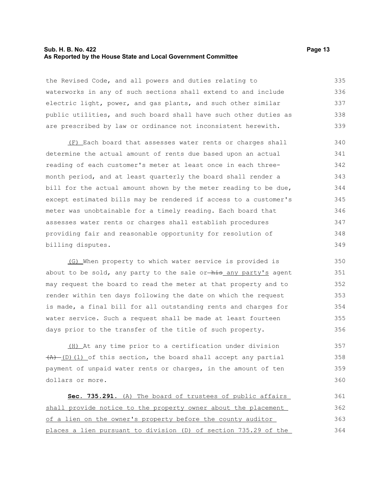#### **Sub. H. B. No. 422 Page 13 As Reported by the House State and Local Government Committee**

the Revised Code, and all powers and duties relating to waterworks in any of such sections shall extend to and include electric light, power, and gas plants, and such other similar public utilities, and such board shall have such other duties as are prescribed by law or ordinance not inconsistent herewith. 335 336 337 338 339

(F) Each board that assesses water rents or charges shall determine the actual amount of rents due based upon an actual reading of each customer's meter at least once in each threemonth period, and at least quarterly the board shall render a bill for the actual amount shown by the meter reading to be due, except estimated bills may be rendered if access to a customer's meter was unobtainable for a timely reading. Each board that assesses water rents or charges shall establish procedures providing fair and reasonable opportunity for resolution of billing disputes. 340 341 342 343 344 345 346 347 348 349

(G) When property to which water service is provided is about to be sold, any party to the sale or- $\frac{h}{h}$  any party's agent may request the board to read the meter at that property and to render within ten days following the date on which the request is made, a final bill for all outstanding rents and charges for water service. Such a request shall be made at least fourteen days prior to the transfer of the title of such property.

(H) At any time prior to a certification under division  $(A)$  (D)(1) of this section, the board shall accept any partial payment of unpaid water rents or charges, in the amount of ten dollars or more. 357 358 359 360

| Sec. 735.291. (A) The board of trustees of public affairs       | 361 |
|-----------------------------------------------------------------|-----|
| shall provide notice to the property owner about the placement  | 362 |
| of a lien on the owner's property before the county auditor     | 363 |
| places a lien pursuant to division (D) of section 735.29 of the | 364 |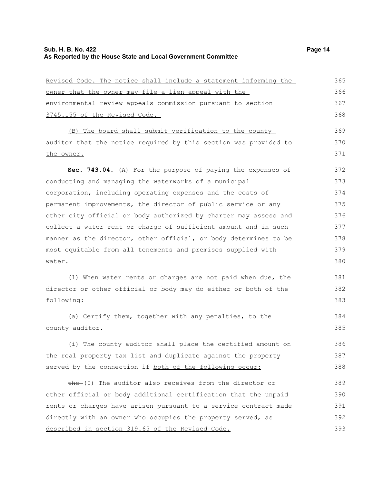| Revised Code. The notice shall include a statement informing the | 365 |
|------------------------------------------------------------------|-----|
| owner that the owner may file a lien appeal with the             | 366 |
| environmental review appeals commission pursuant to section      | 367 |
| 3745.155 of the Revised Code.                                    | 368 |
| (B) The board shall submit verification to the county            | 369 |
| auditor that the notice required by this section was provided to | 370 |
| the owner.                                                       | 371 |
| Sec. 743.04. (A) For the purpose of paying the expenses of       | 372 |
| conducting and managing the waterworks of a municipal            | 373 |
| corporation, including operating expenses and the costs of       | 374 |
| permanent improvements, the director of public service or any    | 375 |
| other city official or body authorized by charter may assess and | 376 |
| collect a water rent or charge of sufficient amount and in such  | 377 |
| manner as the director, other official, or body determines to be | 378 |
| most equitable from all tenements and premises supplied with     | 379 |
| water.                                                           | 380 |
| (1) When water rents or charges are not paid when due, the       | 381 |
| director or other official or body may do either or both of the  | 382 |
| following:                                                       | 383 |
| (a) Certify them, together with any penalties, to the            | 384 |
| county auditor.                                                  | 385 |
| (i) The county auditor shall place the certified amount on       | 386 |
| the real property tax list and duplicate against the property    | 387 |
| served by the connection if both of the following occur:         | 388 |
| the-(I) The auditor also receives from the director or           | 389 |
| other official or body additional certification that the unpaid  | 390 |
| rents or charges have arisen pursuant to a service contract made | 391 |
| directly with an owner who occupies the property served, as      | 392 |
| described in section 319.65 of the Revised Code.                 | 393 |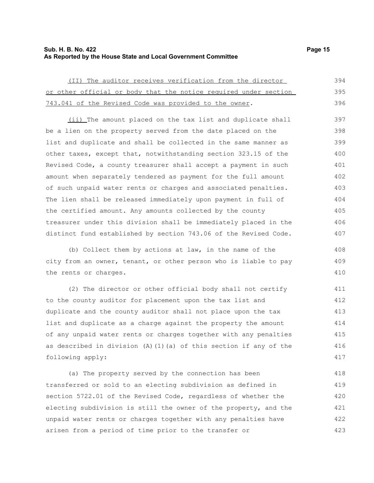#### **Sub. H. B. No. 422 Page 15 As Reported by the House State and Local Government Committee**

408 409 410

| (II) The auditor receives verification from the director         | 394 |
|------------------------------------------------------------------|-----|
| or other official or body that the notice required under section | 395 |
| 743.041 of the Revised Code was provided to the owner.           | 396 |

(ii) The amount placed on the tax list and duplicate shall be a lien on the property served from the date placed on the list and duplicate and shall be collected in the same manner as other taxes, except that, notwithstanding section 323.15 of the Revised Code, a county treasurer shall accept a payment in such amount when separately tendered as payment for the full amount of such unpaid water rents or charges and associated penalties. The lien shall be released immediately upon payment in full of the certified amount. Any amounts collected by the county treasurer under this division shall be immediately placed in the distinct fund established by section 743.06 of the Revised Code. 397 398 399 400 401 402 403 404 405 406 407

(b) Collect them by actions at law, in the name of the city from an owner, tenant, or other person who is liable to pay the rents or charges.

(2) The director or other official body shall not certify to the county auditor for placement upon the tax list and duplicate and the county auditor shall not place upon the tax list and duplicate as a charge against the property the amount of any unpaid water rents or charges together with any penalties as described in division (A)(1)(a) of this section if any of the following apply: 411 412 413 414 415 416 417

(a) The property served by the connection has been transferred or sold to an electing subdivision as defined in section 5722.01 of the Revised Code, regardless of whether the electing subdivision is still the owner of the property, and the unpaid water rents or charges together with any penalties have arisen from a period of time prior to the transfer or 418 419 420 421 422 423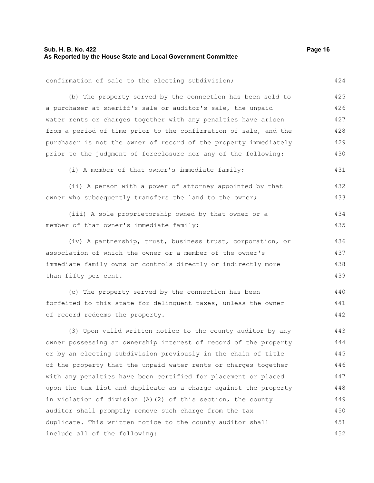## **Sub. H. B. No. 422** Page 16 **As Reported by the House State and Local Government Committee**

| confirmation of sale to the electing subdivision;                | 424 |
|------------------------------------------------------------------|-----|
| (b) The property served by the connection has been sold to       | 425 |
| a purchaser at sheriff's sale or auditor's sale, the unpaid      | 426 |
| water rents or charges together with any penalties have arisen   | 427 |
| from a period of time prior to the confirmation of sale, and the | 428 |
| purchaser is not the owner of record of the property immediately | 429 |
| prior to the judgment of foreclosure nor any of the following:   | 430 |
| (i) A member of that owner's immediate family;                   | 431 |
| (ii) A person with a power of attorney appointed by that         | 432 |
| owner who subsequently transfers the land to the owner;          | 433 |
| (iii) A sole proprietorship owned by that owner or a             | 434 |
| member of that owner's immediate family;                         | 435 |
| (iv) A partnership, trust, business trust, corporation, or       | 436 |
| association of which the owner or a member of the owner's        | 437 |
| immediate family owns or controls directly or indirectly more    | 438 |
| than fifty per cent.                                             | 439 |
| (c) The property served by the connection has been               | 440 |
| forfeited to this state for delinquent taxes, unless the owner   | 441 |
| of record redeems the property.                                  | 442 |
| (3) Upon valid written notice to the county auditor by any       | 443 |
| owner possessing an ownership interest of record of the property | 444 |
| or by an electing subdivision previously in the chain of title   | 445 |
| of the property that the unpaid water rents or charges together  | 446 |
| with any penalties have been certified for placement or placed   | 447 |
| upon the tax list and duplicate as a charge against the property | 448 |
| in violation of division (A) (2) of this section, the county     | 449 |
| auditor shall promptly remove such charge from the tax           | 450 |

duplicate. This written notice to the county auditor shall

include all of the following:

452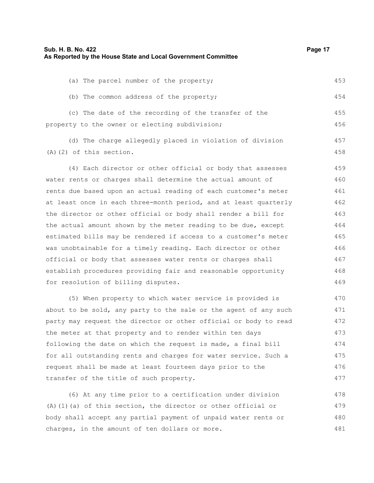| Sub. H. B. No. 422<br>As Reported by the House State and Local Government Committee                                                                                                                                              | Page 17 |
|----------------------------------------------------------------------------------------------------------------------------------------------------------------------------------------------------------------------------------|---------|
|                                                                                                                                                                                                                                  |         |
| (a) The parcel number of the property;                                                                                                                                                                                           | 453     |
| (b) The common address of the property;                                                                                                                                                                                          | 454     |
| (c) The date of the recording of the transfer of the                                                                                                                                                                             | 455     |
| property to the owner or electing subdivision;                                                                                                                                                                                   | 456     |
| (d) The charge allegedly placed in violation of division                                                                                                                                                                         | 457     |
| $(A)$ $(2)$ of this section.                                                                                                                                                                                                     | 458     |
| (4) Each director or other official or body that assesses                                                                                                                                                                        | 459     |
| water rents or charges shall determine the actual amount of                                                                                                                                                                      | 460     |
| rents due based upon an actual reading of each customer's meter                                                                                                                                                                  | 461     |
| at least once in each three-month period, and at least quarterly                                                                                                                                                                 | 462     |
| the director or other official or body shall render a bill for                                                                                                                                                                   | 463     |
| the actual amount shown by the meter reading to be due, except                                                                                                                                                                   | 464     |
| estimated bills may be rendered if access to a customer's meter                                                                                                                                                                  | 465     |
| was unobtainable for a timely reading. Each director or other                                                                                                                                                                    | 466     |
| official or body that assesses water rents or charges shall                                                                                                                                                                      | 467     |
| establish procedures providing fair and reasonable opportunity                                                                                                                                                                   | 468     |
| for resolution of billing disputes.                                                                                                                                                                                              | 469     |
| (5) When property to which water service is provided is                                                                                                                                                                          | 470     |
| $\mathbf{r}$ , and the set of the set of the set of the set of the set of the set of the set of the set of the set of the set of the set of the set of the set of the set of the set of the set of the set of the set of the set | $1 - 1$ |

about to be sold, any party to the sale or the agent of any such party may request the director or other official or body to read the meter at that property and to render within ten days following the date on which the request is made, a final bill for all outstanding rents and charges for water service. Such a request shall be made at least fourteen days prior to the transfer of the title of such property. 471 472 473 474 475 476 477

(6) At any time prior to a certification under division (A)(1)(a) of this section, the director or other official or body shall accept any partial payment of unpaid water rents or charges, in the amount of ten dollars or more. 478 479 480 481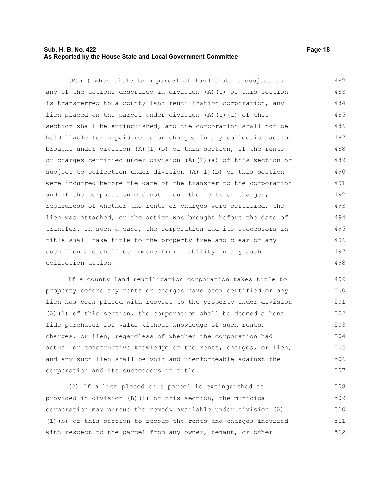#### **Sub. H. B. No. 422 Page 18 As Reported by the House State and Local Government Committee**

(B)(1) When title to a parcel of land that is subject to any of the actions described in division (A)(1) of this section is transferred to a county land reutilization corporation, any lien placed on the parcel under division (A)(1)(a) of this section shall be extinguished, and the corporation shall not be held liable for unpaid rents or charges in any collection action brought under division  $(A)$  (1)(b) of this section, if the rents or charges certified under division (A)(1)(a) of this section or subject to collection under division  $(A)$   $(1)$   $(b)$  of this section were incurred before the date of the transfer to the corporation and if the corporation did not incur the rents or charges, regardless of whether the rents or charges were certified, the lien was attached, or the action was brought before the date of transfer. In such a case, the corporation and its successors in title shall take title to the property free and clear of any such lien and shall be immune from liability in any such collection action. 482 483 484 485 486 487 488 489 490 491 492 493 494 495 496 497 498

If a county land reutilization corporation takes title to property before any rents or charges have been certified or any lien has been placed with respect to the property under division (A)(1) of this section, the corporation shall be deemed a bona fide purchaser for value without knowledge of such rents, charges, or lien, regardless of whether the corporation had actual or constructive knowledge of the rents, charges, or lien, and any such lien shall be void and unenforceable against the corporation and its successors in title. 499 500 501 502 503 504 505 506 507

(2) If a lien placed on a parcel is extinguished as provided in division (B)(1) of this section, the municipal corporation may pursue the remedy available under division (A) (1)(b) of this section to recoup the rents and charges incurred with respect to the parcel from any owner, tenant, or other 508 509 510 511 512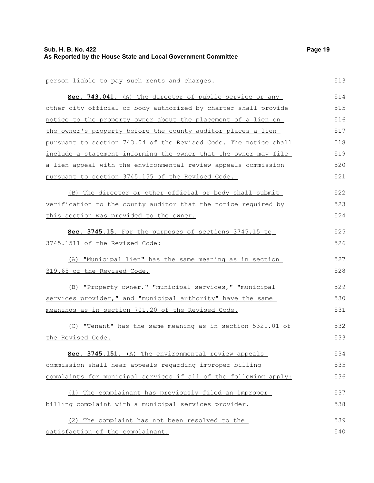| Sub. H. B. No. 422                                            | Page 19 |
|---------------------------------------------------------------|---------|
| As Reported by the House State and Local Government Committee |         |

513

|  | person liable to pay such rents and charges. |  |  |  |  |  |  |  |
|--|----------------------------------------------|--|--|--|--|--|--|--|
|--|----------------------------------------------|--|--|--|--|--|--|--|

| Sec. 743.041. (A) The director of public service or any               | 514 |
|-----------------------------------------------------------------------|-----|
| other city official or body authorized by charter shall provide       | 515 |
| notice to the property owner about the placement of a lien on         | 516 |
| the owner's property before the county auditor places a lien          | 517 |
| pursuant to section 743.04 of the Revised Code. The notice shall      | 518 |
| include a statement informing the owner that the owner may file       | 519 |
| <u>a lien appeal with the environmental review appeals commission</u> | 520 |
| pursuant to section 3745.155 of the Revised Code.                     | 521 |
| (B) The director or other official or body shall submit               | 522 |
| verification to the county auditor that the notice required by        | 523 |
| this section was provided to the owner.                               | 524 |
| Sec. 3745.15. For the purposes of sections 3745.15 to                 | 525 |
| 3745.1511 of the Revised Code:                                        | 526 |
| (A) "Municipal lien" has the same meaning as in section               | 527 |
| 319.65 of the Revised Code.                                           | 528 |
| (B) "Property owner," "municipal services," "municipal                | 529 |
| services provider," and "municipal authority" have the same           | 530 |
| meanings as in section 701.20 of the Revised Code.                    | 531 |
| (C) "Tenant" has the same meaning as in section 5321.01 of            | 532 |
| the Revised Code.                                                     | 533 |
| Sec. 3745.151. (A) The environmental review appeals                   | 534 |
| commission shall hear appeals regarding improper billing              | 535 |
| complaints for municipal services if all of the following apply:      | 536 |
| (1) The complainant has previously filed an improper                  | 537 |
| billing complaint with a municipal services provider.                 | 538 |

(2) The complaint has not been resolved to the satisfaction of the complainant. 539 540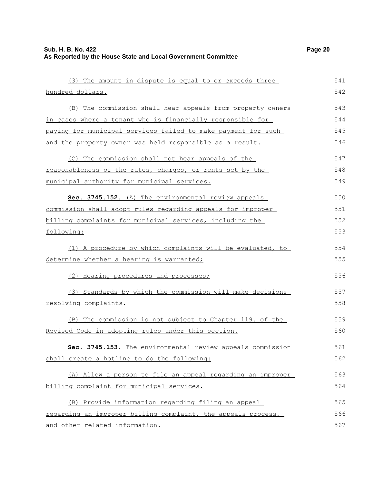| (3) The amount in dispute is equal to or exceeds three        | 541 |
|---------------------------------------------------------------|-----|
| hundred dollars.                                              | 542 |
| (B) The commission shall hear appeals from property owners    | 543 |
| in cases where a tenant who is financially responsible for    | 544 |
| paying for municipal services failed to make payment for such | 545 |
| and the property owner was held responsible as a result.      | 546 |
| (C) The commission shall not hear appeals of the              | 547 |
| reasonableness of the rates, charges, or rents set by the     | 548 |
| municipal authority for municipal services.                   | 549 |
| Sec. 3745.152. (A) The environmental review appeals           | 550 |
| commission shall adopt rules regarding appeals for improper   | 551 |
| billing complaints for municipal services, including the      | 552 |
| following:                                                    | 553 |
| (1) A procedure by which complaints will be evaluated, to     | 554 |
| determine whether a hearing is warranted;                     | 555 |
| (2) Hearing procedures and processes;                         | 556 |
| (3) Standards by which the commission will make decisions     | 557 |
| resolving complaints.                                         | 558 |
| (B) The commission is not subject to Chapter 119. of the      | 559 |
| Revised Code in adopting rules under this section.            | 560 |
| 3745.153. The environmental review appeals commission<br>Sec. | 561 |
| shall create a hotline to do the following:                   | 562 |
| (A) Allow a person to file an appeal regarding an improper    | 563 |
| billing complaint for municipal services.                     | 564 |
| (B) Provide information regarding filing an appeal            | 565 |
| regarding an improper billing complaint, the appeals process, | 566 |
| and other related information.                                | 567 |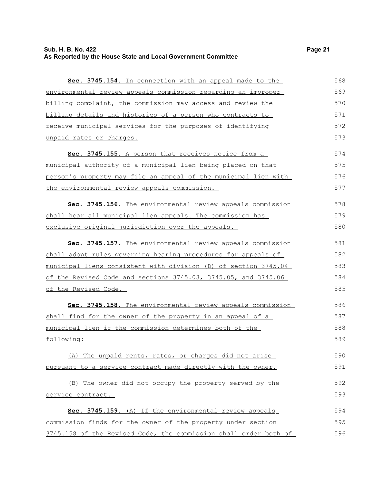| Sec. 3745.154. In connection with an appeal made to the          | 568 |
|------------------------------------------------------------------|-----|
| environmental review appeals commission regarding an improper    | 569 |
| billing complaint, the commission may access and review the      | 570 |
| billing details and histories of a person who contracts to       | 571 |
| receive municipal services for the purposes of identifying       | 572 |
| unpaid rates or charges.                                         | 573 |
| Sec. 3745.155. A person that receives notice from a              | 574 |
| municipal authority of a municipal lien being placed on that     | 575 |
| person's property may file an appeal of the municipal lien with  | 576 |
| the environmental review appeals commission.                     | 577 |
| Sec. 3745.156. The environmental review appeals commission       | 578 |
| shall hear all municipal lien appeals. The commission has        | 579 |
| exclusive original jurisdiction over the appeals.                | 580 |
| Sec. 3745.157. The environmental review appeals commission       | 581 |
| shall adopt rules governing hearing procedures for appeals of    | 582 |
| municipal liens consistent with division (D) of section 3745.04  | 583 |
| of the Revised Code and sections 3745.03, 3745.05, and 3745.06   | 584 |
| of the Revised Code.                                             | 585 |
| Sec. 3745.158. The environmental review appeals commission       | 586 |
| shall find for the owner of the property in an appeal of a       | 587 |
| municipal lien if the commission determines both of the          | 588 |
| following:                                                       | 589 |
| (A) The unpaid rents, rates, or charges did not arise            | 590 |
| pursuant to a service contract made directly with the owner.     | 591 |
| (B) The owner did not occupy the property served by the          | 592 |
| service contract.                                                | 593 |
| Sec. 3745.159. (A) If the environmental review appeals           | 594 |
| commission finds for the owner of the property under section     | 595 |
| 3745.158 of the Revised Code, the commission shall order both of | 596 |